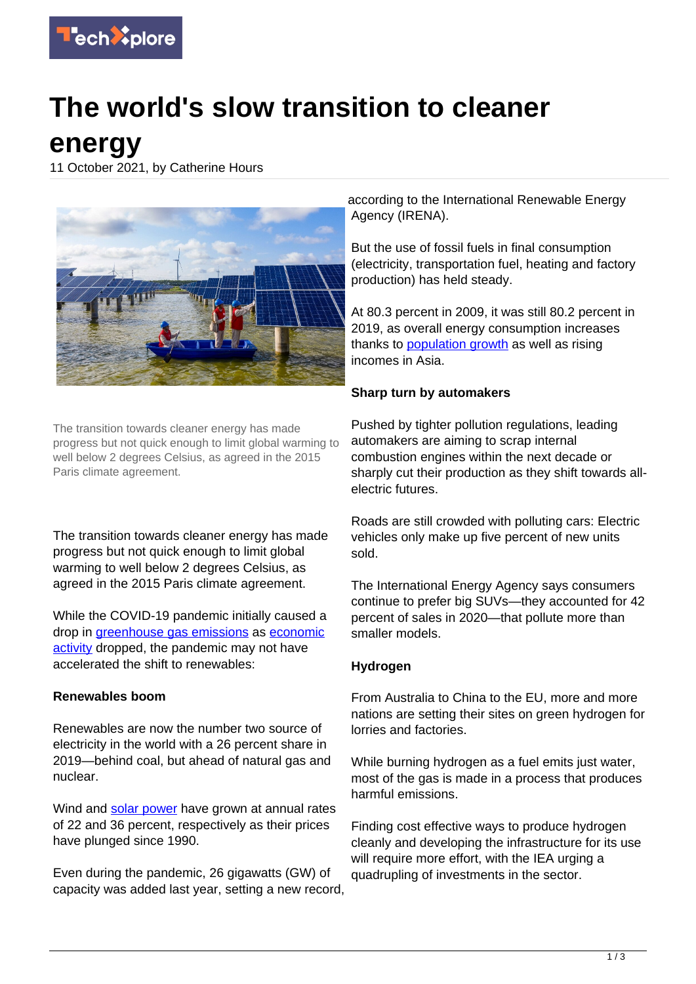

# **The world's slow transition to cleaner**

**energy**

11 October 2021, by Catherine Hours



The transition towards cleaner energy has made progress but not quick enough to limit global warming to well below 2 degrees Celsius, as agreed in the 2015 Paris climate agreement.

The transition towards cleaner energy has made progress but not quick enough to limit global warming to well below 2 degrees Celsius, as agreed in the 2015 Paris climate agreement.

While the COVID-19 pandemic initially caused a drop in [greenhouse gas emissions](https://techxplore.com/tags/greenhouse+gas+emissions/) as [economic](https://techxplore.com/tags/economic+activity/) [activity](https://techxplore.com/tags/economic+activity/) dropped, the pandemic may not have accelerated the shift to renewables:

### **Renewables boom**

Renewables are now the number two source of electricity in the world with a 26 percent share in 2019—behind coal, but ahead of natural gas and nuclear.

Wind and [solar power](https://techxplore.com/tags/solar+power/) have grown at annual rates of 22 and 36 percent, respectively as their prices have plunged since 1990.

Even during the pandemic, 26 gigawatts (GW) of capacity was added last year, setting a new record,

according to the International Renewable Energy Agency (IRENA).

But the use of fossil fuels in final consumption (electricity, transportation fuel, heating and factory production) has held steady.

At 80.3 percent in 2009, it was still 80.2 percent in 2019, as overall energy consumption increases thanks to [population growth](https://techxplore.com/tags/population+growth/) as well as rising incomes in Asia.

## **Sharp turn by automakers**

Pushed by tighter pollution regulations, leading automakers are aiming to scrap internal combustion engines within the next decade or sharply cut their production as they shift towards allelectric futures.

Roads are still crowded with polluting cars: Electric vehicles only make up five percent of new units sold.

The International Energy Agency says consumers continue to prefer big SUVs—they accounted for 42 percent of sales in 2020—that pollute more than smaller models.

# **Hydrogen**

From Australia to China to the EU, more and more nations are setting their sites on green hydrogen for lorries and factories.

While burning hydrogen as a fuel emits just water, most of the gas is made in a process that produces harmful emissions.

Finding cost effective ways to produce hydrogen cleanly and developing the infrastructure for its use will require more effort, with the IEA urging a quadrupling of investments in the sector.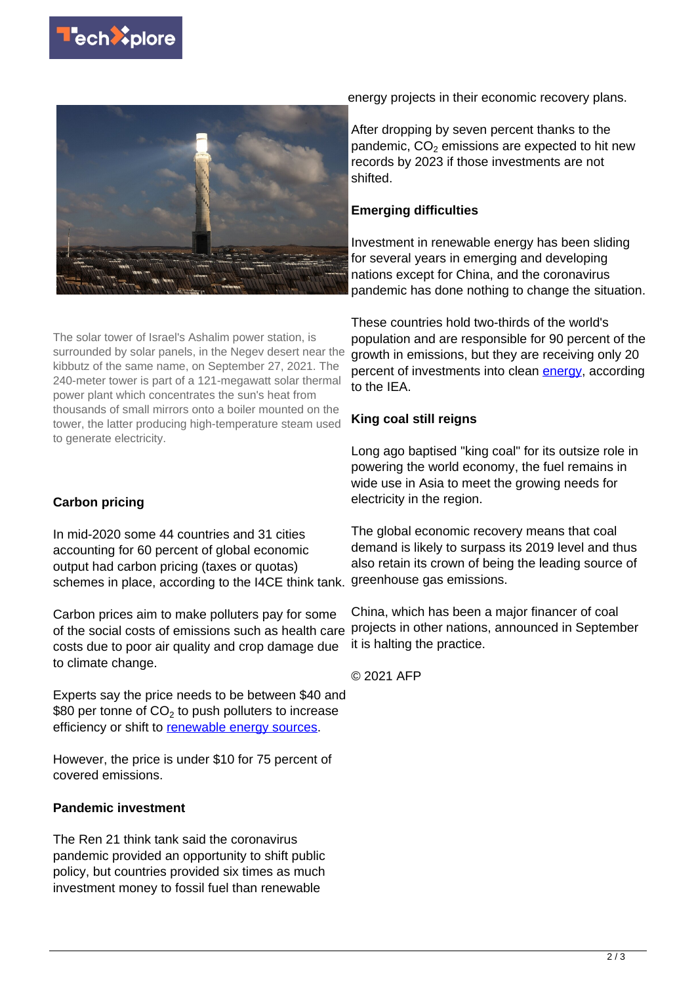



The solar tower of Israel's Ashalim power station, is surrounded by solar panels, in the Negev desert near the kibbutz of the same name, on September 27, 2021. The 240-meter tower is part of a 121-megawatt solar thermal power plant which concentrates the sun's heat from thousands of small mirrors onto a boiler mounted on the tower, the latter producing high-temperature steam used to generate electricity.

### **Carbon pricing**

In mid-2020 some 44 countries and 31 cities accounting for 60 percent of global economic output had carbon pricing (taxes or quotas) schemes in place, according to the I4CE think tank.

Carbon prices aim to make polluters pay for some of the social costs of emissions such as health care costs due to poor air quality and crop damage due to climate change.

Experts say the price needs to be between \$40 and  $\$80$  per tonne of CO $_2$  to push polluters to increase efficiency or shift to [renewable energy sources.](https://techxplore.com/tags/renewable+energy+sources/)

However, the price is under \$10 for 75 percent of covered emissions.

### **Pandemic investment**

The Ren 21 think tank said the coronavirus pandemic provided an opportunity to shift public policy, but countries provided six times as much investment money to fossil fuel than renewable

energy projects in their economic recovery plans.

After dropping by seven percent thanks to the pandemic,  $CO<sub>2</sub>$  emissions are expected to hit new records by 2023 if those investments are not shifted.

#### **Emerging difficulties**

Investment in renewable energy has been sliding for several years in emerging and developing nations except for China, and the coronavirus pandemic has done nothing to change the situation.

These countries hold two-thirds of the world's population and are responsible for 90 percent of the growth in emissions, but they are receiving only 20 percent of investments into clean [energy,](https://techxplore.com/tags/energy/) according to the IEA.

#### **King coal still reigns**

Long ago baptised "king coal" for its outsize role in powering the world economy, the fuel remains in wide use in Asia to meet the growing needs for electricity in the region.

The global economic recovery means that coal demand is likely to surpass its 2019 level and thus also retain its crown of being the leading source of greenhouse gas emissions.

China, which has been a major financer of coal projects in other nations, announced in September it is halting the practice.

© 2021 AFP